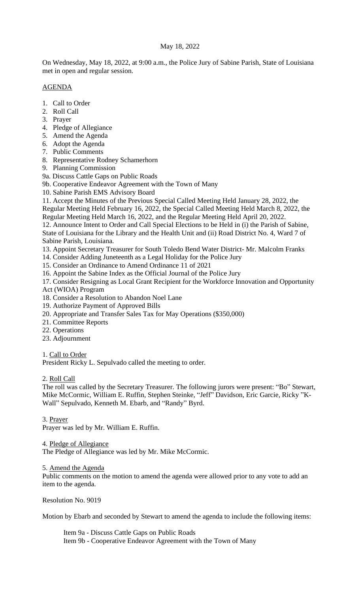## May 18, 2022

On Wednesday, May 18, 2022, at 9:00 a.m., the Police Jury of Sabine Parish, State of Louisiana met in open and regular session.

### AGENDA

- 1. Call to Order
- 2. Roll Call
- 3. Prayer
- 4. Pledge of Allegiance
- 5. Amend the Agenda
- 6. Adopt the Agenda
- 7. Public Comments
- 8. Representative Rodney Schamerhorn
- 9. Planning Commission
- 9a. Discuss Cattle Gaps on Public Roads
- 9b. Cooperative Endeavor Agreement with the Town of Many
- 10. Sabine Parish EMS Advisory Board

11. Accept the Minutes of the Previous Special Called Meeting Held January 28, 2022, the Regular Meeting Held February 16, 2022, the Special Called Meeting Held March 8, 2022, the Regular Meeting Held March 16, 2022, and the Regular Meeting Held April 20, 2022.

12. Announce Intent to Order and Call Special Elections to be Held in (i) the Parish of Sabine, State of Louisiana for the Library and the Health Unit and (ii) Road District No. 4, Ward 7 of Sabine Parish, Louisiana.

13. Appoint Secretary Treasurer for South Toledo Bend Water District- Mr. Malcolm Franks

- 14. Consider Adding Juneteenth as a Legal Holiday for the Police Jury
- 15. Consider an Ordinance to Amend Ordinance 11 of 2021

16. Appoint the Sabine Index as the Official Journal of the Police Jury

17. Consider Resigning as Local Grant Recipient for the Workforce Innovation and Opportunity Act (WIOA) Program

- 18. Consider a Resolution to Abandon Noel Lane
- 19. Authorize Payment of Approved Bills
- 20. Appropriate and Transfer Sales Tax for May Operations (\$350,000)
- 21. Committee Reports
- 22. Operations
- 23. Adjournment

1. Call to Order

President Ricky L. Sepulvado called the meeting to order.

### 2. Roll Call

The roll was called by the Secretary Treasurer. The following jurors were present: "Bo" Stewart, Mike McCormic, William E. Ruffin, Stephen Steinke, "Jeff" Davidson, Eric Garcie, Ricky "K-Wall" Sepulvado, Kenneth M. Ebarb, and "Randy" Byrd.

# 3. Prayer

Prayer was led by Mr. William E. Ruffin.

### 4. Pledge of Allegiance

The Pledge of Allegiance was led by Mr. Mike McCormic.

### 5. Amend the Agenda

Public comments on the motion to amend the agenda were allowed prior to any vote to add an item to the agenda.

Resolution No. 9019

Motion by Ebarb and seconded by Stewart to amend the agenda to include the following items:

Item 9a - Discuss Cattle Gaps on Public Roads Item 9b - Cooperative Endeavor Agreement with the Town of Many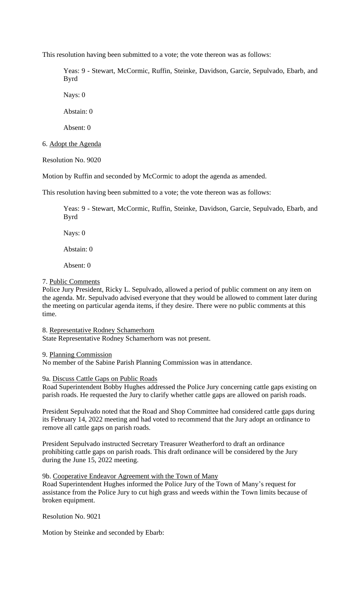This resolution having been submitted to a vote; the vote thereon was as follows:

Yeas: 9 - Stewart, McCormic, Ruffin, Steinke, Davidson, Garcie, Sepulvado, Ebarb, and Byrd

Nays: 0

Abstain: 0

Absent: 0

## 6. Adopt the Agenda

Resolution No. 9020

Motion by Ruffin and seconded by McCormic to adopt the agenda as amended.

This resolution having been submitted to a vote; the vote thereon was as follows:

Yeas: 9 - Stewart, McCormic, Ruffin, Steinke, Davidson, Garcie, Sepulvado, Ebarb, and Byrd

Nays: 0

Abstain: 0

Absent: 0

### 7. Public Comments

Police Jury President, Ricky L. Sepulvado, allowed a period of public comment on any item on the agenda. Mr. Sepulvado advised everyone that they would be allowed to comment later during the meeting on particular agenda items, if they desire. There were no public comments at this time.

8. Representative Rodney Schamerhorn State Representative Rodney Schamerhorn was not present.

9. Planning Commission

No member of the Sabine Parish Planning Commission was in attendance.

9a. Discuss Cattle Gaps on Public Roads

Road Superintendent Bobby Hughes addressed the Police Jury concerning cattle gaps existing on parish roads. He requested the Jury to clarify whether cattle gaps are allowed on parish roads.

President Sepulvado noted that the Road and Shop Committee had considered cattle gaps during its February 14, 2022 meeting and had voted to recommend that the Jury adopt an ordinance to remove all cattle gaps on parish roads.

President Sepulvado instructed Secretary Treasurer Weatherford to draft an ordinance prohibiting cattle gaps on parish roads. This draft ordinance will be considered by the Jury during the June 15, 2022 meeting.

9b. Cooperative Endeavor Agreement with the Town of Many

Road Superintendent Hughes informed the Police Jury of the Town of Many's request for assistance from the Police Jury to cut high grass and weeds within the Town limits because of broken equipment.

Resolution No. 9021

Motion by Steinke and seconded by Ebarb: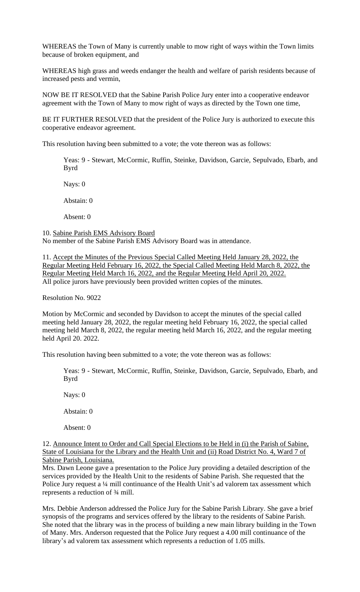WHEREAS the Town of Many is currently unable to mow right of ways within the Town limits because of broken equipment, and

WHEREAS high grass and weeds endanger the health and welfare of parish residents because of increased pests and vermin,

NOW BE IT RESOLVED that the Sabine Parish Police Jury enter into a cooperative endeavor agreement with the Town of Many to mow right of ways as directed by the Town one time,

BE IT FURTHER RESOLVED that the president of the Police Jury is authorized to execute this cooperative endeavor agreement.

This resolution having been submitted to a vote; the vote thereon was as follows:

Yeas: 9 - Stewart, McCormic, Ruffin, Steinke, Davidson, Garcie, Sepulvado, Ebarb, and Byrd

Nays: 0

Abstain: 0

Absent: 0

10. Sabine Parish EMS Advisory Board No member of the Sabine Parish EMS Advisory Board was in attendance.

11. Accept the Minutes of the Previous Special Called Meeting Held January 28, 2022, the Regular Meeting Held February 16, 2022, the Special Called Meeting Held March 8, 2022, the Regular Meeting Held March 16, 2022, and the Regular Meeting Held April 20, 2022. All police jurors have previously been provided written copies of the minutes.

Resolution No. 9022

Motion by McCormic and seconded by Davidson to accept the minutes of the special called meeting held January 28, 2022, the regular meeting held February 16, 2022, the special called meeting held March 8, 2022, the regular meeting held March 16, 2022, and the regular meeting held April 20. 2022.

This resolution having been submitted to a vote; the vote thereon was as follows:

Yeas: 9 - Stewart, McCormic, Ruffin, Steinke, Davidson, Garcie, Sepulvado, Ebarb, and Byrd

Nays: 0

Abstain: 0

Absent: 0

12. Announce Intent to Order and Call Special Elections to be Held in (i) the Parish of Sabine, State of Louisiana for the Library and the Health Unit and (ii) Road District No. 4, Ward 7 of Sabine Parish, Louisiana.

Mrs. Dawn Leone gave a presentation to the Police Jury providing a detailed description of the services provided by the Health Unit to the residents of Sabine Parish. She requested that the Police Jury request a <sup>1</sup>/4 mill continuance of the Health Unit's ad valorem tax assessment which represents a reduction of ¾ mill.

Mrs. Debbie Anderson addressed the Police Jury for the Sabine Parish Library. She gave a brief synopsis of the programs and services offered by the library to the residents of Sabine Parish. She noted that the library was in the process of building a new main library building in the Town of Many. Mrs. Anderson requested that the Police Jury request a 4.00 mill continuance of the library's ad valorem tax assessment which represents a reduction of 1.05 mills.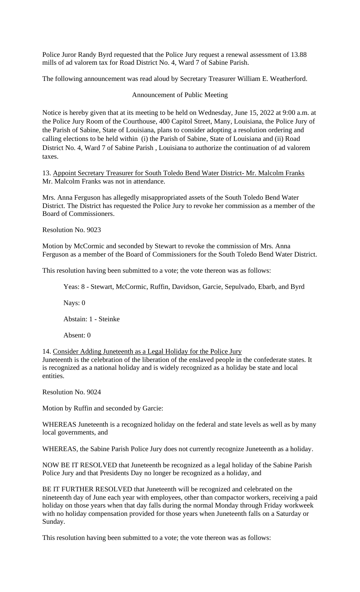Police Juror Randy Byrd requested that the Police Jury request a renewal assessment of 13.88 mills of ad valorem tax for Road District No. 4, Ward 7 of Sabine Parish.

The following announcement was read aloud by Secretary Treasurer William E. Weatherford.

Announcement of Public Meeting

Notice is hereby given that at its meeting to be held on Wednesday, June 15, 2022 at 9:00 a.m. at the Police Jury Room of the Courthouse, 400 Capitol Street, Many, Louisiana, the Police Jury of the Parish of Sabine, State of Louisiana, plans to consider adopting a resolution ordering and calling elections to be held within (i) the Parish of Sabine, State of Louisiana and (ii) Road District No. 4, Ward 7 of Sabine Parish , Louisiana to authorize the continuation of ad valorem taxes.

13. Appoint Secretary Treasurer for South Toledo Bend Water District- Mr. Malcolm Franks Mr. Malcolm Franks was not in attendance.

Mrs. Anna Ferguson has allegedly misappropriated assets of the South Toledo Bend Water District. The District has requested the Police Jury to revoke her commission as a member of the Board of Commissioners.

Resolution No. 9023

Motion by McCormic and seconded by Stewart to revoke the commission of Mrs. Anna Ferguson as a member of the Board of Commissioners for the South Toledo Bend Water District.

This resolution having been submitted to a vote; the vote thereon was as follows:

Yeas: 8 - Stewart, McCormic, Ruffin, Davidson, Garcie, Sepulvado, Ebarb, and Byrd

Nays: 0

Abstain: 1 - Steinke

Absent: 0

14. Consider Adding Juneteenth as a Legal Holiday for the Police Jury

Juneteenth is the celebration of the liberation of the enslaved people in the confederate states. It is recognized as a national holiday and is widely recognized as a holiday be state and local entities.

Resolution No. 9024

Motion by Ruffin and seconded by Garcie:

WHEREAS Juneteenth is a recognized holiday on the federal and state levels as well as by many local governments, and

WHEREAS, the Sabine Parish Police Jury does not currently recognize Juneteenth as a holiday.

NOW BE IT RESOLVED that Juneteenth be recognized as a legal holiday of the Sabine Parish Police Jury and that Presidents Day no longer be recognized as a holiday, and

BE IT FURTHER RESOLVED that Juneteenth will be recognized and celebrated on the nineteenth day of June each year with employees, other than compactor workers, receiving a paid holiday on those years when that day falls during the normal Monday through Friday workweek with no holiday compensation provided for those years when Juneteenth falls on a Saturday or Sunday.

This resolution having been submitted to a vote; the vote thereon was as follows: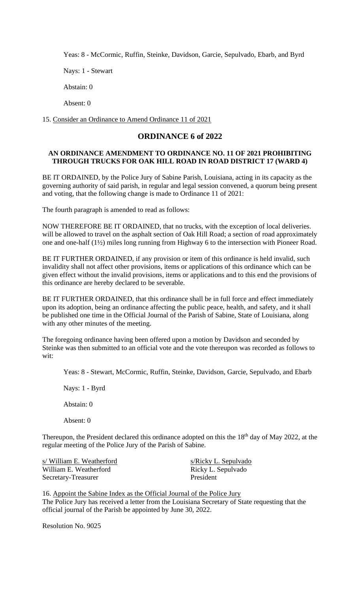Yeas: 8 - McCormic, Ruffin, Steinke, Davidson, Garcie, Sepulvado, Ebarb, and Byrd

Nays: 1 - Stewart

Abstain: 0

Absent: 0

15. Consider an Ordinance to Amend Ordinance 11 of 2021

## **ORDINANCE 6 of 2022**

### **AN ORDINANCE AMENDMENT TO ORDINANCE NO. 11 OF 2021 PROHIBITING THROUGH TRUCKS FOR OAK HILL ROAD IN ROAD DISTRICT 17 (WARD 4)**

BE IT ORDAINED, by the Police Jury of Sabine Parish, Louisiana, acting in its capacity as the governing authority of said parish, in regular and legal session convened, a quorum being present and voting, that the following change is made to Ordinance 11 of 2021:

The fourth paragraph is amended to read as follows:

NOW THEREFORE BE IT ORDAINED, that no trucks, with the exception of local deliveries. will be allowed to travel on the asphalt section of Oak Hill Road; a section of road approximately one and one-half (1½) miles long running from Highway 6 to the intersection with Pioneer Road.

BE IT FURTHER ORDAINED, if any provision or item of this ordinance is held invalid, such invalidity shall not affect other provisions, items or applications of this ordinance which can be given effect without the invalid provisions, items or applications and to this end the provisions of this ordinance are hereby declared to be severable.

BE IT FURTHER ORDAINED, that this ordinance shall be in full force and effect immediately upon its adoption, being an ordinance affecting the public peace, health, and safety, and it shall be published one time in the Official Journal of the Parish of Sabine, State of Louisiana, along with any other minutes of the meeting.

The foregoing ordinance having been offered upon a motion by Davidson and seconded by Steinke was then submitted to an official vote and the vote thereupon was recorded as follows to wit:

Yeas: 8 - Stewart, McCormic, Ruffin, Steinke, Davidson, Garcie, Sepulvado, and Ebarb

Nays: 1 - Byrd

Abstain: 0

Absent: 0

Thereupon, the President declared this ordinance adopted on this the 18<sup>th</sup> day of May 2022, at the regular meeting of the Police Jury of the Parish of Sabine.

s/ William E. Weatherford s/Ricky L. Sepulvado William E. Weatherford Ricky L. Sepulvado Secretary-Treasurer President

16. Appoint the Sabine Index as the Official Journal of the Police Jury The Police Jury has received a letter from the Louisiana Secretary of State requesting that the official journal of the Parish be appointed by June 30, 2022.

Resolution No. 9025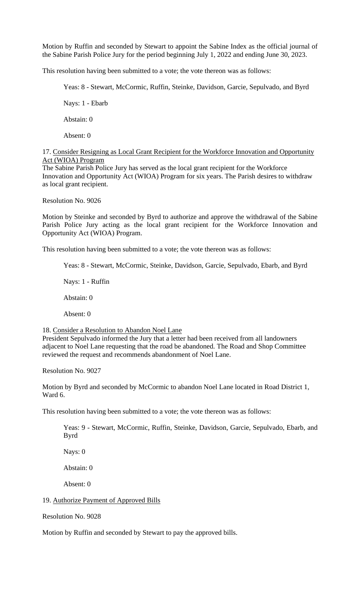Motion by Ruffin and seconded by Stewart to appoint the Sabine Index as the official journal of the Sabine Parish Police Jury for the period beginning July 1, 2022 and ending June 30, 2023.

This resolution having been submitted to a vote; the vote thereon was as follows:

Yeas: 8 - Stewart, McCormic, Ruffin, Steinke, Davidson, Garcie, Sepulvado, and Byrd

Nays: 1 - Ebarb

Abstain: 0

Absent: 0

#### 17. Consider Resigning as Local Grant Recipient for the Workforce Innovation and Opportunity Act (WIOA) Program

The Sabine Parish Police Jury has served as the local grant recipient for the Workforce Innovation and Opportunity Act (WIOA) Program for six years. The Parish desires to withdraw as local grant recipient.

Resolution No. 9026

Motion by Steinke and seconded by Byrd to authorize and approve the withdrawal of the Sabine Parish Police Jury acting as the local grant recipient for the Workforce Innovation and Opportunity Act (WIOA) Program.

This resolution having been submitted to a vote; the vote thereon was as follows:

Yeas: 8 - Stewart, McCormic, Steinke, Davidson, Garcie, Sepulvado, Ebarb, and Byrd

Nays: 1 - Ruffin

Abstain: 0

Absent: 0

#### 18. Consider a Resolution to Abandon Noel Lane

President Sepulvado informed the Jury that a letter had been received from all landowners adjacent to Noel Lane requesting that the road be abandoned. The Road and Shop Committee reviewed the request and recommends abandonment of Noel Lane.

Resolution No. 9027

Motion by Byrd and seconded by McCormic to abandon Noel Lane located in Road District 1, Ward 6.

This resolution having been submitted to a vote; the vote thereon was as follows:

Yeas: 9 - Stewart, McCormic, Ruffin, Steinke, Davidson, Garcie, Sepulvado, Ebarb, and Byrd

Nays: 0

Abstain: 0

Absent: 0

### 19. Authorize Payment of Approved Bills

Resolution No. 9028

Motion by Ruffin and seconded by Stewart to pay the approved bills.